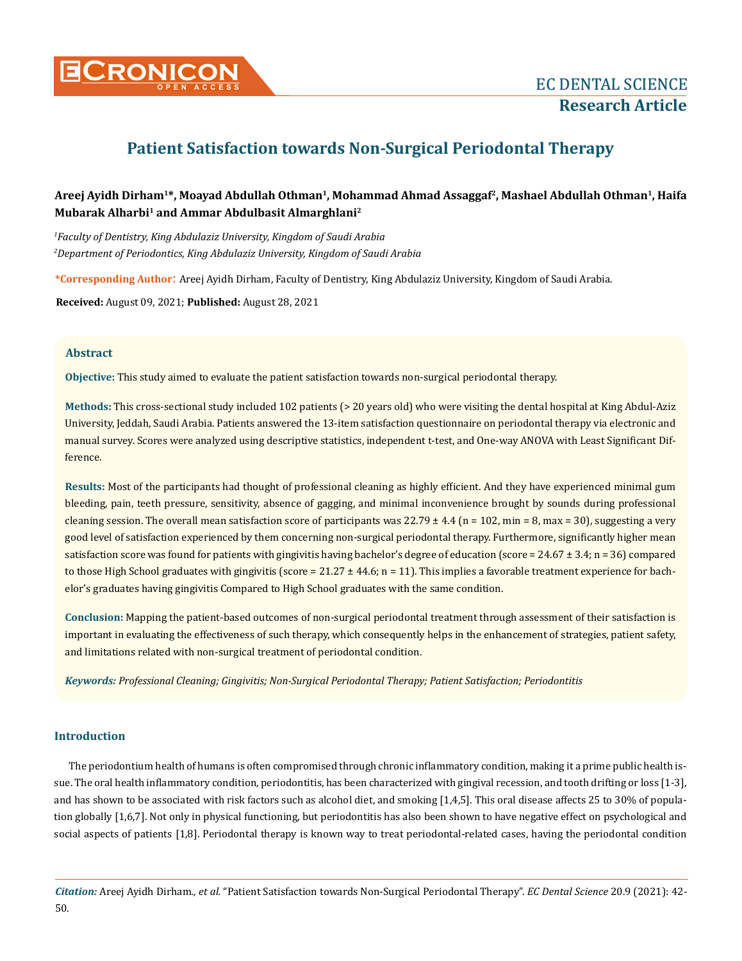

# **Patient Satisfaction towards Non-Surgical Periodontal Therapy**

# **Areej Ayidh Dirham1\*, Moayad Abdullah Othman1, Mohammad Ahmad Assaggaf2, Mashael Abdullah Othman1, Haifa Mubarak Alharbi1 and Ammar Abdulbasit Almarghlani2**

*1 Faculty of Dentistry, King Abdulaziz University, Kingdom of Saudi Arabia 2 Department of Periodontics, King Abdulaziz University, Kingdom of Saudi Arabia* 

**\*Corresponding Author**: Areej Ayidh Dirham, Faculty of Dentistry, King Abdulaziz University, Kingdom of Saudi Arabia.

**Received:** August 09, 2021; **Published:** August 28, 2021

## **Abstract**

**Objective:** This study aimed to evaluate the patient satisfaction towards non-surgical periodontal therapy.

**Methods:** This cross-sectional study included 102 patients (> 20 years old) who were visiting the dental hospital at King Abdul-Aziz University, Jeddah, Saudi Arabia. Patients answered the 13-item satisfaction questionnaire on periodontal therapy via electronic and manual survey. Scores were analyzed using descriptive statistics, independent t-test, and One-way ANOVA with Least Significant Difference.

**Results:** Most of the participants had thought of professional cleaning as highly efficient. And they have experienced minimal gum bleeding, pain, teeth pressure, sensitivity, absence of gagging, and minimal inconvenience brought by sounds during professional cleaning session. The overall mean satisfaction score of participants was  $22.79 \pm 4.4$  (n = 102, min = 8, max = 30), suggesting a very good level of satisfaction experienced by them concerning non-surgical periodontal therapy. Furthermore, significantly higher mean satisfaction score was found for patients with gingivitis having bachelor's degree of education (score =  $24.67 \pm 3.4$ ; n = 36) compared to those High School graduates with gingivitis (score =  $21.27 \pm 44.6$ ; n = 11). This implies a favorable treatment experience for bachelor's graduates having gingivitis Compared to High School graduates with the same condition.

**Conclusion:** Mapping the patient-based outcomes of non-surgical periodontal treatment through assessment of their satisfaction is important in evaluating the effectiveness of such therapy, which consequently helps in the enhancement of strategies, patient safety, and limitations related with non-surgical treatment of periodontal condition.

*Keywords: Professional Cleaning; Gingivitis; Non-Surgical Periodontal Therapy; Patient Satisfaction; Periodontitis*

## **Introduction**

The periodontium health of humans is often compromised through chronic inflammatory condition, making it a prime public health issue. The oral health inflammatory condition, periodontitis, has been characterized with gingival recession, and tooth drifting or loss [1-3], and has shown to be associated with risk factors such as alcohol diet, and smoking [1,4,5]. This oral disease affects 25 to 30% of population globally [1,6,7]. Not only in physical functioning, but periodontitis has also been shown to have negative effect on psychological and social aspects of patients [1,8]. Periodontal therapy is known way to treat periodontal-related cases, having the periodontal condition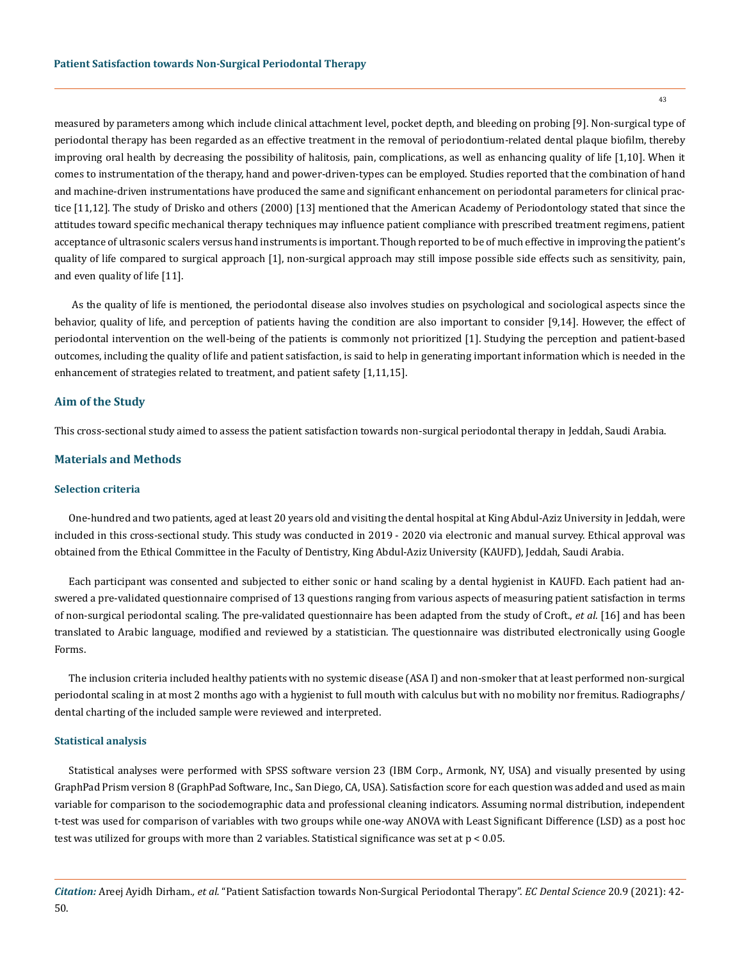measured by parameters among which include clinical attachment level, pocket depth, and bleeding on probing [9]. Non-surgical type of periodontal therapy has been regarded as an effective treatment in the removal of periodontium-related dental plaque biofilm, thereby improving oral health by decreasing the possibility of halitosis, pain, complications, as well as enhancing quality of life [1,10]. When it comes to instrumentation of the therapy, hand and power-driven-types can be employed. Studies reported that the combination of hand and machine-driven instrumentations have produced the same and significant enhancement on periodontal parameters for clinical practice [11,12]. The study of Drisko and others (2000) [13] mentioned that the American Academy of Periodontology stated that since the attitudes toward specific mechanical therapy techniques may influence patient compliance with prescribed treatment regimens, patient acceptance of ultrasonic scalers versus hand instruments is important. Though reported to be of much effective in improving the patient's quality of life compared to surgical approach [1], non-surgical approach may still impose possible side effects such as sensitivity, pain, and even quality of life [11].

 As the quality of life is mentioned, the periodontal disease also involves studies on psychological and sociological aspects since the behavior, quality of life, and perception of patients having the condition are also important to consider [9,14]. However, the effect of periodontal intervention on the well-being of the patients is commonly not prioritized [1]. Studying the perception and patient-based outcomes, including the quality of life and patient satisfaction, is said to help in generating important information which is needed in the enhancement of strategies related to treatment, and patient safety [1,11,15].

#### **Aim of the Study**

This cross-sectional study aimed to assess the patient satisfaction towards non-surgical periodontal therapy in Jeddah, Saudi Arabia.

#### **Materials and Methods**

#### **Selection criteria**

One-hundred and two patients, aged at least 20 years old and visiting the dental hospital at King Abdul-Aziz University in Jeddah, were included in this cross-sectional study. This study was conducted in 2019 - 2020 via electronic and manual survey. Ethical approval was obtained from the Ethical Committee in the Faculty of Dentistry, King Abdul-Aziz University (KAUFD), Jeddah, Saudi Arabia.

Each participant was consented and subjected to either sonic or hand scaling by a dental hygienist in KAUFD. Each patient had answered a pre-validated questionnaire comprised of 13 questions ranging from various aspects of measuring patient satisfaction in terms of non-surgical periodontal scaling. The pre-validated questionnaire has been adapted from the study of Croft., *et al*. [16] and has been translated to Arabic language, modified and reviewed by a statistician. The questionnaire was distributed electronically using Google Forms.

The inclusion criteria included healthy patients with no systemic disease (ASA I) and non-smoker that at least performed non-surgical periodontal scaling in at most 2 months ago with a hygienist to full mouth with calculus but with no mobility nor fremitus. Radiographs/ dental charting of the included sample were reviewed and interpreted.

#### **Statistical analysis**

Statistical analyses were performed with SPSS software version 23 (IBM Corp., Armonk, NY, USA) and visually presented by using GraphPad Prism version 8 (GraphPad Software, Inc., San Diego, CA, USA). Satisfaction score for each question was added and used as main variable for comparison to the sociodemographic data and professional cleaning indicators. Assuming normal distribution, independent t-test was used for comparison of variables with two groups while one-way ANOVA with Least Significant Difference (LSD) as a post hoc test was utilized for groups with more than 2 variables. Statistical significance was set at p < 0.05.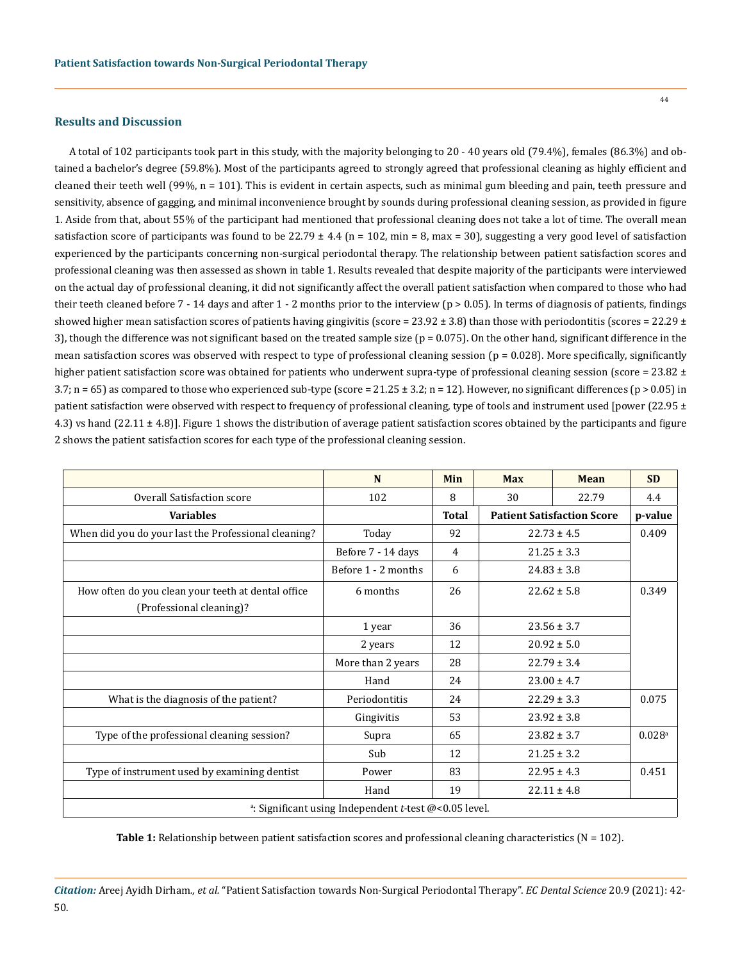#### **Results and Discussion**

A total of 102 participants took part in this study, with the majority belonging to 20 - 40 years old (79.4%), females (86.3%) and obtained a bachelor's degree (59.8%). Most of the participants agreed to strongly agreed that professional cleaning as highly efficient and cleaned their teeth well (99%, n = 101). This is evident in certain aspects, such as minimal gum bleeding and pain, teeth pressure and sensitivity, absence of gagging, and minimal inconvenience brought by sounds during professional cleaning session, as provided in figure 1. Aside from that, about 55% of the participant had mentioned that professional cleaning does not take a lot of time. The overall mean satisfaction score of participants was found to be 22.79  $\pm$  4.4 (n = 102, min = 8, max = 30), suggesting a very good level of satisfaction experienced by the participants concerning non-surgical periodontal therapy. The relationship between patient satisfaction scores and professional cleaning was then assessed as shown in table 1. Results revealed that despite majority of the participants were interviewed on the actual day of professional cleaning, it did not significantly affect the overall patient satisfaction when compared to those who had their teeth cleaned before  $7 - 14$  days and after  $1 - 2$  months prior to the interview ( $p > 0.05$ ). In terms of diagnosis of patients, findings showed higher mean satisfaction scores of patients having gingivitis (score =  $23.92 \pm 3.8$ ) than those with periodontitis (scores =  $22.29 \pm 3.8$ ) 3), though the difference was not significant based on the treated sample size ( $p = 0.075$ ). On the other hand, significant difference in the mean satisfaction scores was observed with respect to type of professional cleaning session  $(p = 0.028)$ . More specifically, significantly higher patient satisfaction score was obtained for patients who underwent supra-type of professional cleaning session (score = 23.82 ±  $3.7$ ; n = 65) as compared to those who experienced sub-type (score = 21.25  $\pm$  3.2; n = 12). However, no significant differences (p > 0.05) in patient satisfaction were observed with respect to frequency of professional cleaning, type of tools and instrument used [power (22.95 ± 4.3) vs hand (22.11 ± 4.8)]. Figure 1 shows the distribution of average patient satisfaction scores obtained by the participants and figure 2 shows the patient satisfaction scores for each type of the professional cleaning session.

|                                                                           | N                   | Min          | <b>Max</b>                        | Mean            | <b>SD</b>            |  |  |
|---------------------------------------------------------------------------|---------------------|--------------|-----------------------------------|-----------------|----------------------|--|--|
| Overall Satisfaction score                                                | 102                 | 8            | 30                                | 22.79           | 4.4                  |  |  |
| <b>Variables</b>                                                          |                     | <b>Total</b> | <b>Patient Satisfaction Score</b> |                 | p-value              |  |  |
| When did you do your last the Professional cleaning?                      | Today               | 92           | $22.73 \pm 4.5$                   |                 | 0.409                |  |  |
|                                                                           | Before 7 - 14 days  | 4            | $21.25 \pm 3.3$                   |                 |                      |  |  |
|                                                                           | Before 1 - 2 months | 6            |                                   | $24.83 \pm 3.8$ |                      |  |  |
| How often do you clean your teeth at dental office                        | 6 months            | 26           | $22.62 \pm 5.8$                   |                 | 0.349                |  |  |
| (Professional cleaning)?                                                  |                     |              |                                   |                 |                      |  |  |
|                                                                           | 1 year              | 36           |                                   | $23.56 \pm 3.7$ |                      |  |  |
|                                                                           | 2 years             | 12           |                                   | $20.92 \pm 5.0$ |                      |  |  |
|                                                                           | More than 2 years   | 28           |                                   | $22.79 \pm 3.4$ |                      |  |  |
|                                                                           | Hand                | 24           |                                   | $23.00 \pm 4.7$ |                      |  |  |
| What is the diagnosis of the patient?                                     | Periodontitis       | 24           |                                   | $22.29 \pm 3.3$ | 0.075                |  |  |
|                                                                           | Gingivitis          | 53           |                                   | $23.92 \pm 3.8$ |                      |  |  |
| Type of the professional cleaning session?                                | Supra               | 65           |                                   | $23.82 \pm 3.7$ | $0.028$ <sup>a</sup> |  |  |
|                                                                           | Sub                 | 12           |                                   | $21.25 \pm 3.2$ |                      |  |  |
| Type of instrument used by examining dentist                              | Power               | 83           |                                   | $22.95 \pm 4.3$ | 0.451                |  |  |
|                                                                           | Hand                | 19           |                                   | $22.11 \pm 4.8$ |                      |  |  |
| <sup>a</sup> : Significant using Independent <i>t</i> -test @<0.05 level. |                     |              |                                   |                 |                      |  |  |

**Table 1:** Relationship between patient satisfaction scores and professional cleaning characteristics (N = 102).

*Citation:* Areej Ayidh Dirham*., et al.* "Patient Satisfaction towards Non-Surgical Periodontal Therapy". *EC Dental Science* 20.9 (2021): 42- 50.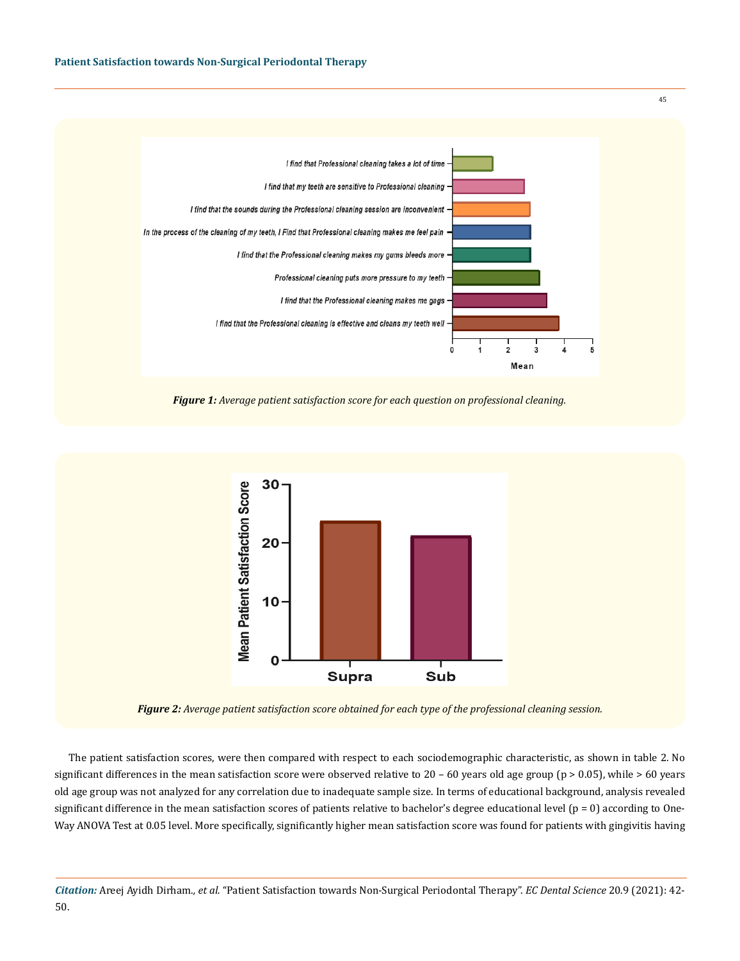

*Figure 1: Average patient satisfaction score for each question on professional cleaning.*



*Figure 2: Average patient satisfaction score obtained for each type of the professional cleaning session.*

The patient satisfaction scores, were then compared with respect to each sociodemographic characteristic, as shown in table 2. No significant differences in the mean satisfaction score were observed relative to  $20 - 60$  years old age group ( $p > 0.05$ ), while  $> 60$  years old age group was not analyzed for any correlation due to inadequate sample size. In terms of educational background, analysis revealed significant difference in the mean satisfaction scores of patients relative to bachelor's degree educational level  $(p = 0)$  according to One-Way ANOVA Test at 0.05 level. More specifically, significantly higher mean satisfaction score was found for patients with gingivitis having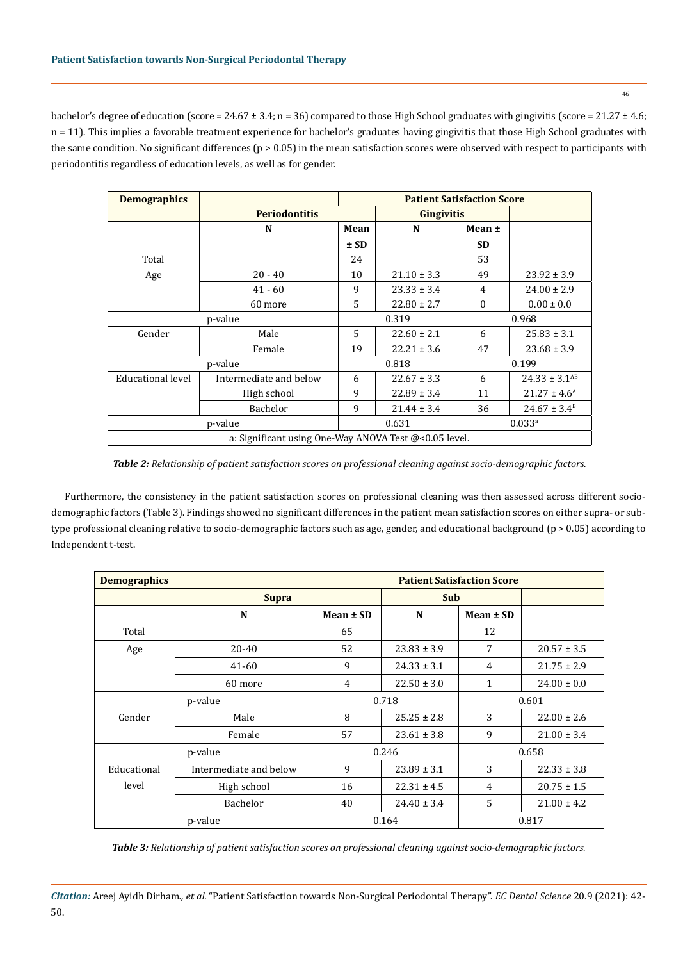46

bachelor's degree of education (score = 24.67 ± 3.4; n = 36) compared to those High School graduates with gingivitis (score = 21.27 ± 4.6; n = 11). This implies a favorable treatment experience for bachelor's graduates having gingivitis that those High School graduates with the same condition. No significant differences ( $p > 0.05$ ) in the mean satisfaction scores were observed with respect to participants with periodontitis regardless of education levels, as well as for gender.

| <b>Demographics</b>                                   |                        | <b>Patient Satisfaction Score</b> |                   |                      |                               |  |  |
|-------------------------------------------------------|------------------------|-----------------------------------|-------------------|----------------------|-------------------------------|--|--|
|                                                       | <b>Periodontitis</b>   |                                   | <b>Gingivitis</b> |                      |                               |  |  |
|                                                       | N                      | Mean                              | N                 | Mean ±               |                               |  |  |
|                                                       |                        | $\pm$ SD                          |                   | <b>SD</b>            |                               |  |  |
| Total                                                 |                        | 24                                |                   | 53                   |                               |  |  |
| Age                                                   | $20 - 40$              | 10                                | $21.10 \pm 3.3$   | 49                   | $23.92 \pm 3.9$               |  |  |
|                                                       | $41 - 60$              | 9                                 | $23.33 \pm 3.4$   | 4                    | $24.00 \pm 2.9$               |  |  |
|                                                       | 60 more                | 5                                 | $22.80 \pm 2.7$   | $\mathbf{0}$         | $0.00 \pm 0.0$                |  |  |
|                                                       | p-value                |                                   | 0.319             |                      | 0.968                         |  |  |
| Gender                                                | Male                   | 5                                 | $22.60 \pm 2.1$   | 6                    | $25.83 \pm 3.1$               |  |  |
|                                                       | Female                 | 19                                | $22.21 \pm 3.6$   | 47                   | $23.68 \pm 3.9$               |  |  |
| p-value                                               |                        | 0.818                             |                   | 0.199                |                               |  |  |
| Educational level                                     | Intermediate and below | 6                                 | $22.67 \pm 3.3$   | 6                    | $24.33 \pm 3.1$ <sup>AB</sup> |  |  |
|                                                       | High school            | 9                                 | $22.89 \pm 3.4$   | 11                   | $21.27 \pm 4.6^{\text{A}}$    |  |  |
|                                                       | Bachelor               | 9                                 | $21.44 \pm 3.4$   | 36                   | $24.67 \pm 3.4^B$             |  |  |
| p-value                                               |                        | 0.631                             |                   | $0.033$ <sup>a</sup> |                               |  |  |
| a: Significant using One-Way ANOVA Test @<0.05 level. |                        |                                   |                   |                      |                               |  |  |

*Table 2: Relationship of patient satisfaction scores on professional cleaning against socio-demographic factors.*

Furthermore, the consistency in the patient satisfaction scores on professional cleaning was then assessed across different sociodemographic factors (Table 3). Findings showed no significant differences in the patient mean satisfaction scores on either supra- or subtype professional cleaning relative to socio-demographic factors such as age, gender, and educational background (p > 0.05) according to Independent t-test.

| <b>Demographics</b> |                        | <b>Patient Satisfaction Score</b> |                 |                |                 |  |
|---------------------|------------------------|-----------------------------------|-----------------|----------------|-----------------|--|
|                     | <b>Supra</b>           |                                   | <b>Sub</b>      |                |                 |  |
|                     | N                      | $Mean \pm SD$                     | N               | Mean $\pm$ SD  |                 |  |
| Total               |                        | 65                                |                 | 12             |                 |  |
| Age                 | 20-40                  | 52                                | $23.83 \pm 3.9$ | 7              | $20.57 \pm 3.5$ |  |
|                     | 41-60                  | 9                                 | $24.33 \pm 3.1$ | 4              | $21.75 \pm 2.9$ |  |
|                     | 60 more                | 4                                 | $22.50 \pm 3.0$ | 1              | $24.00 \pm 0.0$ |  |
| p-value             |                        | 0.718                             |                 | 0.601          |                 |  |
| Gender              | Male                   | 8                                 | $25.25 \pm 2.8$ | 3              | $22.00 \pm 2.6$ |  |
|                     | Female                 | 57                                | $23.61 \pm 3.8$ | 9              | $21.00 \pm 3.4$ |  |
| p-value             |                        | 0.246                             |                 | 0.658          |                 |  |
| Educational         | Intermediate and below | 9                                 | $23.89 \pm 3.1$ | 3              | $22.33 \pm 3.8$ |  |
| level               | High school            | 16                                | $22.31 \pm 4.5$ | $\overline{4}$ | $20.75 \pm 1.5$ |  |
|                     | Bachelor               | 40                                | $24.40 \pm 3.4$ | 5              | $21.00 \pm 4.2$ |  |
| p-value             |                        | 0.164                             |                 | 0.817          |                 |  |

*Table 3: Relationship of patient satisfaction scores on professional cleaning against socio-demographic factors.*

*Citation:* Areej Ayidh Dirham*., et al.* "Patient Satisfaction towards Non-Surgical Periodontal Therapy". *EC Dental Science* 20.9 (2021): 42- 50.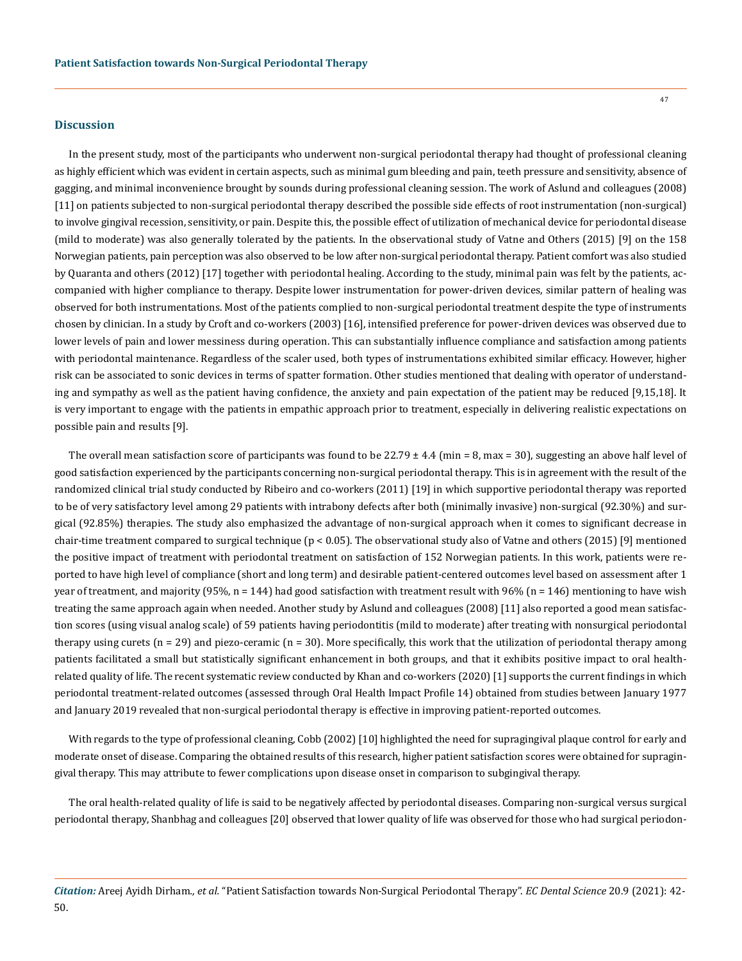#### **Discussion**

In the present study, most of the participants who underwent non-surgical periodontal therapy had thought of professional cleaning as highly efficient which was evident in certain aspects, such as minimal gum bleeding and pain, teeth pressure and sensitivity, absence of gagging, and minimal inconvenience brought by sounds during professional cleaning session. The work of Aslund and colleagues (2008) [11] on patients subjected to non-surgical periodontal therapy described the possible side effects of root instrumentation (non-surgical) to involve gingival recession, sensitivity, or pain. Despite this, the possible effect of utilization of mechanical device for periodontal disease (mild to moderate) was also generally tolerated by the patients. In the observational study of Vatne and Others (2015) [9] on the 158 Norwegian patients, pain perception was also observed to be low after non-surgical periodontal therapy. Patient comfort was also studied by Quaranta and others (2012) [17] together with periodontal healing. According to the study, minimal pain was felt by the patients, accompanied with higher compliance to therapy. Despite lower instrumentation for power-driven devices, similar pattern of healing was observed for both instrumentations. Most of the patients complied to non-surgical periodontal treatment despite the type of instruments chosen by clinician. In a study by Croft and co-workers (2003) [16], intensified preference for power-driven devices was observed due to lower levels of pain and lower messiness during operation. This can substantially influence compliance and satisfaction among patients with periodontal maintenance. Regardless of the scaler used, both types of instrumentations exhibited similar efficacy. However, higher risk can be associated to sonic devices in terms of spatter formation. Other studies mentioned that dealing with operator of understanding and sympathy as well as the patient having confidence, the anxiety and pain expectation of the patient may be reduced [9,15,18]. It is very important to engage with the patients in empathic approach prior to treatment, especially in delivering realistic expectations on possible pain and results [9].

The overall mean satisfaction score of participants was found to be  $22.79 \pm 4.4$  (min = 8, max = 30), suggesting an above half level of good satisfaction experienced by the participants concerning non-surgical periodontal therapy. This is in agreement with the result of the randomized clinical trial study conducted by Ribeiro and co-workers (2011) [19] in which supportive periodontal therapy was reported to be of very satisfactory level among 29 patients with intrabony defects after both (minimally invasive) non-surgical (92.30%) and surgical (92.85%) therapies. The study also emphasized the advantage of non-surgical approach when it comes to significant decrease in chair-time treatment compared to surgical technique (p < 0.05). The observational study also of Vatne and others (2015) [9] mentioned the positive impact of treatment with periodontal treatment on satisfaction of 152 Norwegian patients. In this work, patients were reported to have high level of compliance (short and long term) and desirable patient-centered outcomes level based on assessment after 1 year of treatment, and majority (95%, n = 144) had good satisfaction with treatment result with 96% (n = 146) mentioning to have wish treating the same approach again when needed. Another study by Aslund and colleagues (2008) [11] also reported a good mean satisfaction scores (using visual analog scale) of 59 patients having periodontitis (mild to moderate) after treating with nonsurgical periodontal therapy using curets ( $n = 29$ ) and piezo-ceramic ( $n = 30$ ). More specifically, this work that the utilization of periodontal therapy among patients facilitated a small but statistically significant enhancement in both groups, and that it exhibits positive impact to oral healthrelated quality of life. The recent systematic review conducted by Khan and co-workers (2020) [1] supports the current findings in which periodontal treatment-related outcomes (assessed through Oral Health Impact Profile 14) obtained from studies between January 1977 and January 2019 revealed that non-surgical periodontal therapy is effective in improving patient-reported outcomes.

With regards to the type of professional cleaning, Cobb (2002) [10] highlighted the need for supragingival plaque control for early and moderate onset of disease. Comparing the obtained results of this research, higher patient satisfaction scores were obtained for supragingival therapy. This may attribute to fewer complications upon disease onset in comparison to subgingival therapy.

The oral health-related quality of life is said to be negatively affected by periodontal diseases. Comparing non-surgical versus surgical periodontal therapy, Shanbhag and colleagues [20] observed that lower quality of life was observed for those who had surgical periodon-

*Citation:* Areej Ayidh Dirham*., et al.* "Patient Satisfaction towards Non-Surgical Periodontal Therapy". *EC Dental Science* 20.9 (2021): 42- 50.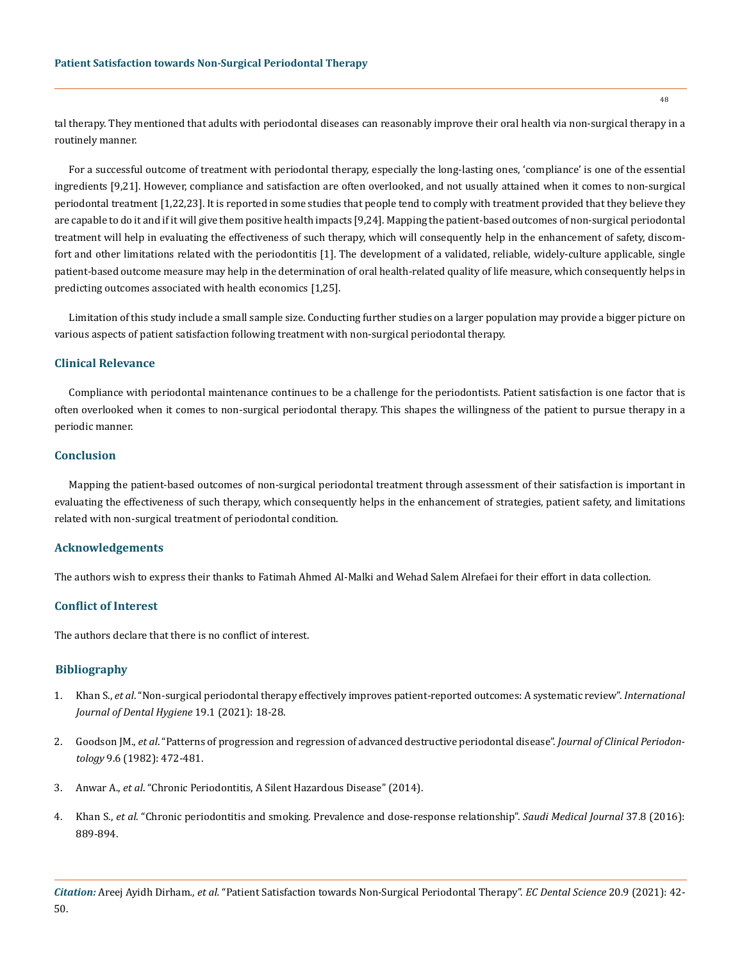tal therapy. They mentioned that adults with periodontal diseases can reasonably improve their oral health via non-surgical therapy in a routinely manner.

For a successful outcome of treatment with periodontal therapy, especially the long-lasting ones, 'compliance' is one of the essential ingredients [9,21]. However, compliance and satisfaction are often overlooked, and not usually attained when it comes to non-surgical periodontal treatment [1,22,23]. It is reported in some studies that people tend to comply with treatment provided that they believe they are capable to do it and if it will give them positive health impacts [9,24]. Mapping the patient-based outcomes of non-surgical periodontal treatment will help in evaluating the effectiveness of such therapy, which will consequently help in the enhancement of safety, discomfort and other limitations related with the periodontitis [1]. The development of a validated, reliable, widely-culture applicable, single patient-based outcome measure may help in the determination of oral health-related quality of life measure, which consequently helps in predicting outcomes associated with health economics [1,25].

Limitation of this study include a small sample size. Conducting further studies on a larger population may provide a bigger picture on various aspects of patient satisfaction following treatment with non-surgical periodontal therapy.

## **Clinical Relevance**

Compliance with periodontal maintenance continues to be a challenge for the periodontists. Patient satisfaction is one factor that is often overlooked when it comes to non-surgical periodontal therapy. This shapes the willingness of the patient to pursue therapy in a periodic manner.

### **Conclusion**

Mapping the patient-based outcomes of non-surgical periodontal treatment through assessment of their satisfaction is important in evaluating the effectiveness of such therapy, which consequently helps in the enhancement of strategies, patient safety, and limitations related with non-surgical treatment of periodontal condition.

#### **Acknowledgements**

The authors wish to express their thanks to Fatimah Ahmed Al-Malki and Wehad Salem Alrefaei for their effort in data collection.

## **Conflict of Interest**

The authors declare that there is no conflict of interest.

## **Bibliography**

- 1. Khan S., *et al*[. "Non-surgical periodontal therapy effectively improves patient-reported outcomes: A systematic review".](https://pubmed.ncbi.nlm.nih.gov/32594621/) *International [Journal of Dental Hygiene](https://pubmed.ncbi.nlm.nih.gov/32594621/)* 19.1 (2021): 18-28.
- 2. Goodson JM., *et al*[. "Patterns of progression and regression of advanced destructive periodontal disease".](https://pubmed.ncbi.nlm.nih.gov/6960023/) *Journal of Clinical Periodontology* [9.6 \(1982\): 472-481.](https://pubmed.ncbi.nlm.nih.gov/6960023/)
- 3. Anwar A., *et al*. "Chronic Periodontitis, A Silent Hazardous Disease" (2014).
- 4. Khan S., *et al*[. "Chronic periodontitis and smoking. Prevalence and dose-response relationship".](https://pubmed.ncbi.nlm.nih.gov/27464867/) *Saudi Medical Journal* 37.8 (2016): [889-894.](https://pubmed.ncbi.nlm.nih.gov/27464867/)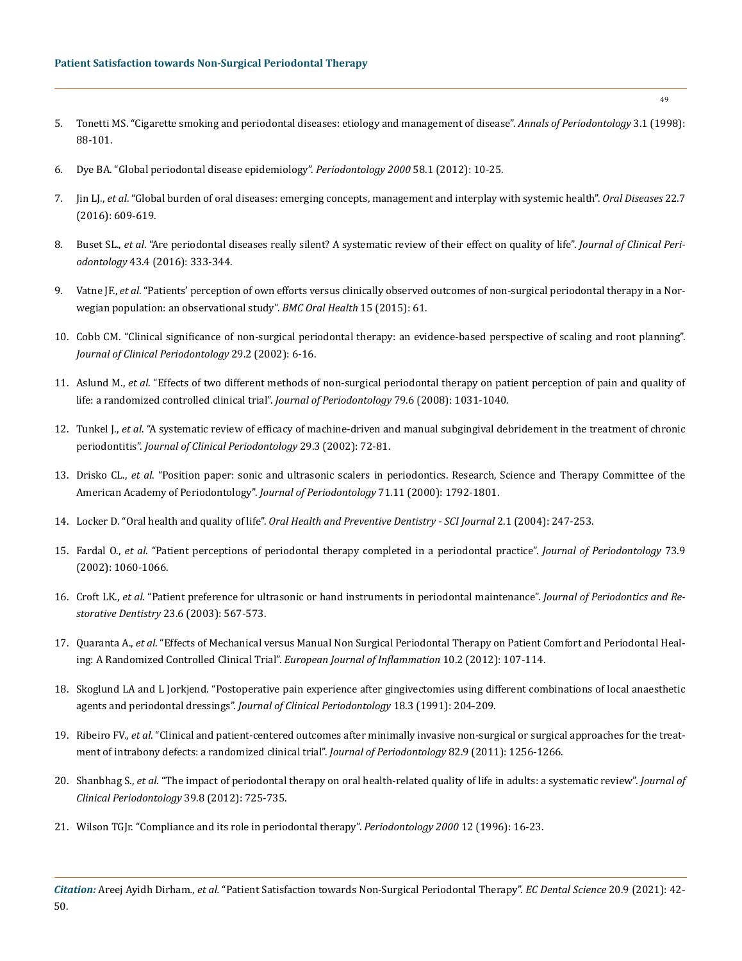- 5. [Tonetti MS. "Cigarette smoking and periodontal diseases: etiology and management of disease".](https://pubmed.ncbi.nlm.nih.gov/9722693/) *Annals of Periodontology* 3.1 (1998): [88-101.](https://pubmed.ncbi.nlm.nih.gov/9722693/)
- 6. [Dye BA. "Global periodontal disease epidemiology".](https://pubmed.ncbi.nlm.nih.gov/22133364/) *Periodontology 2000* 58.1 (2012): 10-25.
- 7. Jin LJ., *et al*[. "Global burden of oral diseases: emerging concepts, management and interplay with systemic health".](https://pubmed.ncbi.nlm.nih.gov/26704694/) *Oral Diseases* 22.7 [\(2016\): 609-619.](https://pubmed.ncbi.nlm.nih.gov/26704694/)
- 8. Buset SL., *et al*[. "Are periodontal diseases really silent? A systematic review of their effect on quality of life".](https://pubmed.ncbi.nlm.nih.gov/26810308/) *Journal of Clinical Periodontology* [43.4 \(2016\): 333-344.](https://pubmed.ncbi.nlm.nih.gov/26810308/)
- 9. Vatne JF., *et al*[. "Patients' perception of own efforts versus clinically observed outcomes of non-surgical periodontal therapy in a Nor](https://bmcoralhealth.biomedcentral.com/articles/10.1186/s12903-015-0037-3)[wegian population: an observational study".](https://bmcoralhealth.biomedcentral.com/articles/10.1186/s12903-015-0037-3) *BMC Oral Health* 15 (2015): 61.
- 10. [Cobb CM. "Clinical significance of non-surgical periodontal therapy: an evidence-based perspective of scaling and root planning".](https://pubmed.ncbi.nlm.nih.gov/12010523/)  *[Journal of Clinical Periodontology](https://pubmed.ncbi.nlm.nih.gov/12010523/)* 29.2 (2002): 6-16.
- 11. Aslund M., *et al*[. "Effects of two different methods of non-surgical periodontal therapy on patient perception of pain and quality of](https://pubmed.ncbi.nlm.nih.gov/18533780/)  [life: a randomized controlled clinical trial".](https://pubmed.ncbi.nlm.nih.gov/18533780/) *Journal of Periodontology* 79.6 (2008): 1031-1040.
- 12. Tunkel J., *et al*[. "A systematic review of efficacy of machine-driven and manual subgingival debridement in the treatment of chronic](https://pubmed.ncbi.nlm.nih.gov/12787208/)  periodontitis". *[Journal of Clinical Periodontology](https://pubmed.ncbi.nlm.nih.gov/12787208/)* 29.3 (2002): 72-81.
- 13. Drisko CL., *et al*[. "Position paper: sonic and ultrasonic scalers in periodontics. Research, Science and Therapy Committee of the](https://europepmc.org/article/MED/11128930)  [American Academy of Periodontology".](https://europepmc.org/article/MED/11128930) *Journal of Periodontology* 71.11 (2000): 1792-1801.
- 14. Locker D. "Oral health and quality of life". *[Oral Health and Preventive Dentistry SCI Journal](https://www.ncbi.nlm.nih.gov/pmc/articles/PMC5535498/)* 2.1 (2004): 247-253.
- 15. Fardal O., *et al*[. "Patient perceptions of periodontal therapy completed in a periodontal practice".](https://pubmed.ncbi.nlm.nih.gov/12296592/) *Journal of Periodontology* 73.9 [\(2002\): 1060-1066.](https://pubmed.ncbi.nlm.nih.gov/12296592/)
- 16. Croft LK., *et al*. "Patient preference for ultrasonic or hand instruments in periodontal maintenance". *Journal of Periodontics and Restorative Dentistry* 23.6 (2003): 567-573.
- 17. Quaranta A., *et al*[. "Effects of Mechanical versus Manual Non Surgical Periodontal Therapy on Patient Comfort and Periodontal Heal](https://www.researchgate.net/publication/272355604_Effects_of_Mechanical_versus_Manual_Non_Surgical_Periodontal_Therapy_on_Patient_Comfort_and_Periodontal_Healing_A_Randomized_Controlled_Clinical_Trial)[ing: A Randomized Controlled Clinical Trial".](https://www.researchgate.net/publication/272355604_Effects_of_Mechanical_versus_Manual_Non_Surgical_Periodontal_Therapy_on_Patient_Comfort_and_Periodontal_Healing_A_Randomized_Controlled_Clinical_Trial) *European Journal of Inflammation* 10.2 (2012): 107-114.
- 18. [Skoglund LA and L Jorkjend. "Postoperative pain experience after gingivectomies using different combinations of local anaesthetic](https://pubmed.ncbi.nlm.nih.gov/2061421/)  agents and periodontal dressings". *[Journal of Clinical Periodontology](https://pubmed.ncbi.nlm.nih.gov/2061421/)* 18.3 (1991): 204-209.
- 19. Ribeiro FV., *et al*[. "Clinical and patient-centered outcomes after minimally invasive non-surgical or surgical approaches for the treat](https://pubmed.ncbi.nlm.nih.gov/21284549/)[ment of intrabony defects: a randomized clinical trial".](https://pubmed.ncbi.nlm.nih.gov/21284549/) *Journal of Periodontology* 82.9 (2011): 1256-1266.
- 20. Shanbhag S., *et al*[. "The impact of periodontal therapy on oral health-related quality of life in adults: a systematic review".](https://pubmed.ncbi.nlm.nih.gov/22694297/) *Journal of [Clinical Periodontology](https://pubmed.ncbi.nlm.nih.gov/22694297/)* 39.8 (2012): 725-735.
- 21. [Wilson TGJr. "Compliance and its role in periodontal therapy".](https://pubmed.ncbi.nlm.nih.gov/9567988/) *Periodontology 2000* 12 (1996): 16-23.